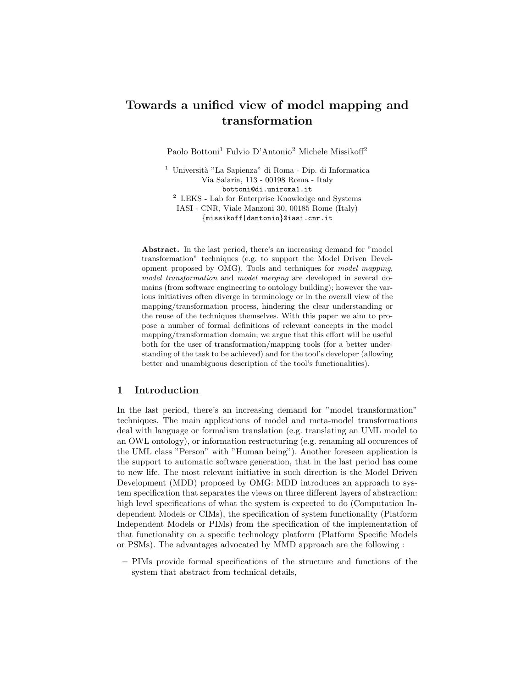# Towards a unified view of model mapping and transformation

Paolo Bottoni<sup>1</sup> Fulvio D'Antonio<sup>2</sup> Michele Missikoff<sup>2</sup>

 $^{\rm 1}$ Università "La Sapienza" di Roma - Dip. di Informatica Via Salaria, 113 - 00198 Roma - Italy bottoni@di.uniroma1.it <sup>2</sup> LEKS - Lab for Enterprise Knowledge and Systems IASI - CNR, Viale Manzoni 30, 00185 Rome (Italy) {missikoff|dantonio}@iasi.cnr.it

Abstract. In the last period, there's an increasing demand for "model transformation" techniques (e.g. to support the Model Driven Development proposed by OMG). Tools and techniques for model mapping, model transformation and model merging are developed in several domains (from software engineering to ontology building); however the various initiatives often diverge in terminology or in the overall view of the mapping/transformation process, hindering the clear understanding or the reuse of the techniques themselves. With this paper we aim to propose a number of formal definitions of relevant concepts in the model mapping/transformation domain; we argue that this effort will be useful both for the user of transformation/mapping tools (for a better understanding of the task to be achieved) and for the tool's developer (allowing better and unambiguous description of the tool's functionalities).

## 1 Introduction

In the last period, there's an increasing demand for "model transformation" techniques. The main applications of model and meta-model transformations deal with language or formalism translation (e.g. translating an UML model to an OWL ontology), or information restructuring (e.g. renaming all occurences of the UML class "Person" with "Human being"). Another foreseen application is the support to automatic software generation, that in the last period has come to new life. The most relevant initiative in such direction is the Model Driven Development (MDD) proposed by OMG: MDD introduces an approach to system specification that separates the views on three different layers of abstraction: high level specifications of what the system is expected to do (Computation Independent Models or CIMs), the specification of system functionality (Platform Independent Models or PIMs) from the specification of the implementation of that functionality on a specific technology platform (Platform Specific Models or PSMs). The advantages advocated by MMD approach are the following :

– PIMs provide formal specifications of the structure and functions of the system that abstract from technical details,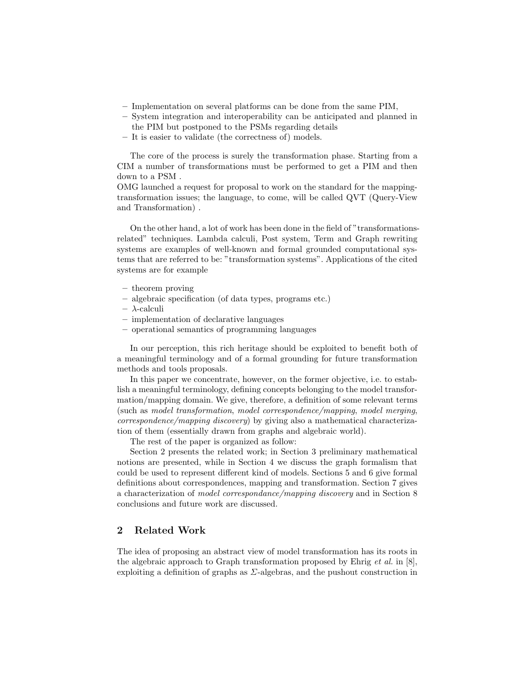- Implementation on several platforms can be done from the same PIM,
- System integration and interoperability can be anticipated and planned in the PIM but postponed to the PSMs regarding details
- It is easier to validate (the correctness of) models.

The core of the process is surely the transformation phase. Starting from a CIM a number of transformations must be performed to get a PIM and then down to a PSM .

OMG launched a request for proposal to work on the standard for the mappingtransformation issues; the language, to come, will be called QVT (Query-View and Transformation) .

On the other hand, a lot of work has been done in the field of "transformationsrelated" techniques. Lambda calculi, Post system, Term and Graph rewriting systems are examples of well-known and formal grounded computational systems that are referred to be: "transformation systems". Applications of the cited systems are for example

- theorem proving
- algebraic specification (of data types, programs etc.)
- λ-calculi
- implementation of declarative languages
- operational semantics of programming languages

In our perception, this rich heritage should be exploited to benefit both of a meaningful terminology and of a formal grounding for future transformation methods and tools proposals.

In this paper we concentrate, however, on the former objective, i.e. to establish a meaningful terminology, defining concepts belonging to the model transformation/mapping domain. We give, therefore, a definition of some relevant terms (such as model transformation, model correspondence/mapping, model merging, correspondence/mapping discovery) by giving also a mathematical characterization of them (essentially drawn from graphs and algebraic world).

The rest of the paper is organized as follow:

Section 2 presents the related work; in Section 3 preliminary mathematical notions are presented, while in Section 4 we discuss the graph formalism that could be used to represent different kind of models. Sections 5 and 6 give formal definitions about correspondences, mapping and transformation. Section 7 gives a characterization of model correspondance/mapping discovery and in Section 8 conclusions and future work are discussed.

# 2 Related Work

The idea of proposing an abstract view of model transformation has its roots in the algebraic approach to Graph transformation proposed by Ehrig et al. in  $[8]$ , exploiting a definition of graphs as  $\Sigma$ -algebras, and the pushout construction in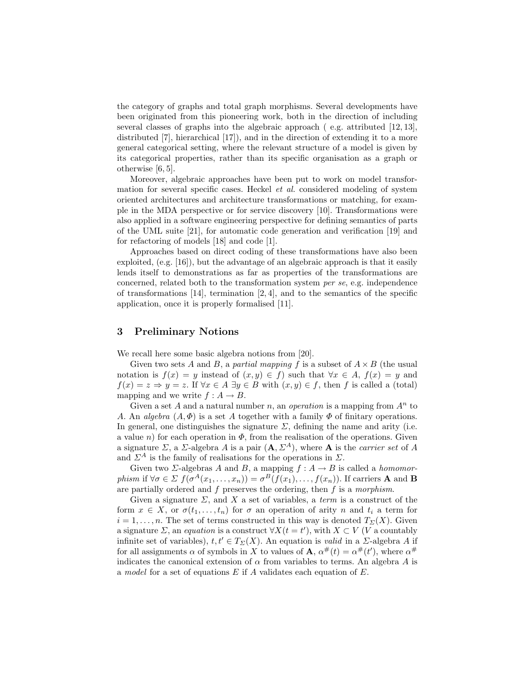the category of graphs and total graph morphisms. Several developments have been originated from this pioneering work, both in the direction of including several classes of graphs into the algebraic approach ( e.g. attributed [12, 13], distributed [7], hierarchical [17]), and in the direction of extending it to a more general categorical setting, where the relevant structure of a model is given by its categorical properties, rather than its specific organisation as a graph or otherwise [6, 5].

Moreover, algebraic approaches have been put to work on model transformation for several specific cases. Heckel et al. considered modeling of system oriented architectures and architecture transformations or matching, for example in the MDA perspective or for service discovery [10]. Transformations were also applied in a software engineering perspective for defining semantics of parts of the UML suite [21], for automatic code generation and verification [19] and for refactoring of models [18] and code [1].

Approaches based on direct coding of these transformations have also been exploited, (e.g. [16]), but the advantage of an algebraic approach is that it easily lends itself to demonstrations as far as properties of the transformations are concerned, related both to the transformation system per se, e.g. independence of transformations  $[14]$ , termination  $[2, 4]$ , and to the semantics of the specific application, once it is properly formalised [11].

## 3 Preliminary Notions

We recall here some basic algebra notions from [20].

Given two sets A and B, a partial mapping f is a subset of  $A \times B$  (the usual notation is  $f(x) = y$  instead of  $(x, y) \in f$  such that  $\forall x \in A$ ,  $f(x) = y$  and  $f(x) = z \Rightarrow y = z$ . If  $\forall x \in A \exists y \in B$  with  $(x, y) \in f$ , then f is called a (total) mapping and we write  $f : A \rightarrow B$ .

Given a set A and a natural number n, an *operation* is a mapping from  $A^n$  to A. An algebra  $(A, \Phi)$  is a set A together with a family  $\Phi$  of finitary operations. In general, one distinguishes the signature  $\Sigma$ , defining the name and arity (i.e. a value n) for each operation in  $\Phi$ , from the realisation of the operations. Given a signature  $\Sigma$ , a  $\Sigma$ -algebra A is a pair  $(\mathbf{A}, \Sigma^A)$ , where **A** is the *carrier set* of A and  $\Sigma^A$  is the family of realisations for the operations in  $\Sigma$ .

Given two  $\Sigma$ -algebras A and B, a mapping  $f : A \to B$  is called a *homomor*phism if  $\forall \sigma \in \Sigma$   $f(\sigma^A(x_1,\ldots,x_n)) = \sigma^B(f(x_1),\ldots,f(x_n))$ . If carriers **A** and **B** are partially ordered and  $f$  preserves the ordering, then  $f$  is a morphism.

Given a signature  $\Sigma$ , and X a set of variables, a *term* is a construct of the form  $x \in X$ , or  $\sigma(t_1, \ldots, t_n)$  for  $\sigma$  an operation of arity n and  $t_i$  a term for  $i = 1, \ldots, n$ . The set of terms constructed in this way is denoted  $T_{\Sigma}(X)$ . Given a signature  $\Sigma$ , an equation is a construct  $\forall X(t = t')$ , with  $X \subset V$  (V a countably infinite set of variables),  $t, t' \in T_{\Sigma}(X)$ . An equation is valid in a  $\Sigma$ -algebra A if for all assignments  $\alpha$  of symbols in X to values of **A**,  $\alpha^{\#}(t) = \alpha^{\#}(t')$ , where  $\alpha^{\#}$ indicates the canonical extension of  $\alpha$  from variables to terms. An algebra A is a model for a set of equations E if A validates each equation of E.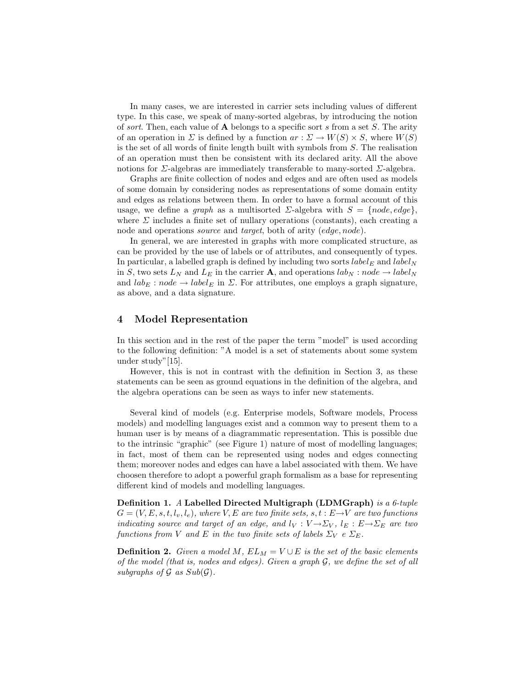In many cases, we are interested in carrier sets including values of different type. In this case, we speak of many-sorted algebras, by introducing the notion of sort. Then, each value of  $\bf{A}$  belongs to a specific sort s from a set S. The arity of an operation in  $\Sigma$  is defined by a function  $ar : \Sigma \to W(S) \times S$ , where  $W(S)$ is the set of all words of finite length built with symbols from S. The realisation of an operation must then be consistent with its declared arity. All the above notions for  $\Sigma$ -algebras are immediately transferable to many-sorted  $\Sigma$ -algebra.

Graphs are finite collection of nodes and edges and are often used as models of some domain by considering nodes as representations of some domain entity and edges as relations between them. In order to have a formal account of this usage, we define a graph as a multisorted  $\Sigma$ -algebra with  $S = \{node, edge\}$ , where  $\Sigma$  includes a finite set of nullary operations (constants), each creating a node and operations *source* and *target*, both of arity (edge, node).

In general, we are interested in graphs with more complicated structure, as can be provided by the use of labels or of attributes, and consequently of types. In particular, a labelled graph is defined by including two sorts  $label_E$  and  $label_N$ in S, two sets  $L_N$  and  $L_E$  in the carrier **A**, and operations  $lab_N : node \rightarrow label_N$ and  $lab_E : node \rightarrow label_E$  in  $\Sigma$ . For attributes, one employs a graph signature, as above, and a data signature.

## 4 Model Representation

In this section and in the rest of the paper the term "model" is used according to the following definition: "A model is a set of statements about some system under study"[15].

However, this is not in contrast with the definition in Section 3, as these statements can be seen as ground equations in the definition of the algebra, and the algebra operations can be seen as ways to infer new statements.

Several kind of models (e.g. Enterprise models, Software models, Process models) and modelling languages exist and a common way to present them to a human user is by means of a diagrammatic representation. This is possible due to the intrinsic "graphic" (see Figure 1) nature of most of modelling languages; in fact, most of them can be represented using nodes and edges connecting them; moreover nodes and edges can have a label associated with them. We have choosen therefore to adopt a powerful graph formalism as a base for representing different kind of models and modelling languages.

Definition 1. A Labelled Directed Multigraph (LDMGraph) is a 6-tuple  $G = (V, E, s, t, l_v, l_e)$ , where V, E are two finite sets,  $s, t : E \rightarrow V$  are two functions indicating source and target of an edge, and  $l_V : V \rightarrow \Sigma_V$ ,  $l_E : E \rightarrow \Sigma_E$  are two functions from V and E in the two finite sets of labels  $\Sigma_V$  e  $\Sigma_E$ .

**Definition 2.** Given a model M,  $EL_M = V \cup E$  is the set of the basic elements of the model (that is, nodes and edges). Given a graph G, we define the set of all subgraphs of  $\mathcal G$  as  $Sub(\mathcal G)$ .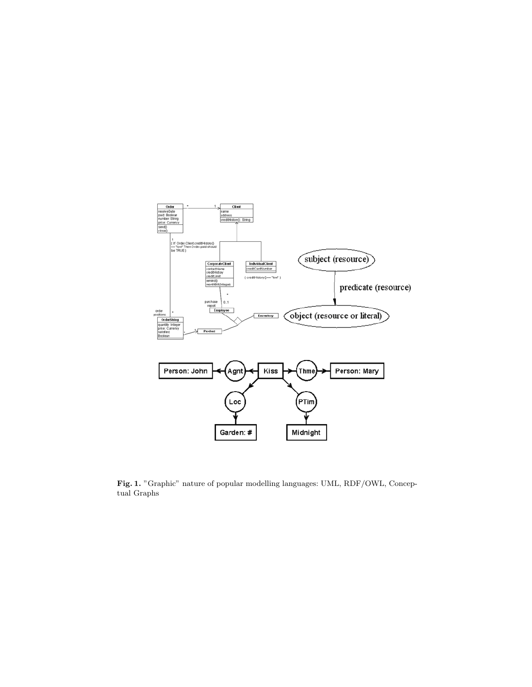

Fig. 1. "Graphic" nature of popular modelling languages: UML, RDF/OWL, Conceptual Graphs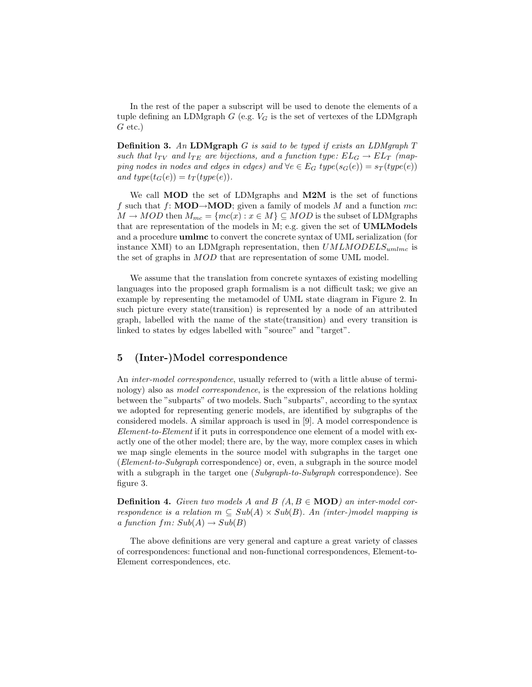In the rest of the paper a subscript will be used to denote the elements of a tuple defining an LDMgraph  $G$  (e.g.  $V_G$  is the set of vertexes of the LDMgraph  $G$  etc.)

**Definition 3.** An LDMgraph G is said to be typed if exists an LDMgraph  $T$ such that  $l_{TV}$  and  $l_{TE}$  are bijections, and a function type:  $EL_G \rightarrow EL_T$  (mapping nodes in nodes and edges in edges) and  $\forall e \in E_G$  type $(s_G(e)) = s_T(type(e))$ and type( $t_G(e)$ ) =  $t_T(type(e))$ .

We call **MOD** the set of LDMgraphs and **M2M** is the set of functions f such that f: **MOD** $\rightarrow$ **MOD**; given a family of models M and a function mc:  $M \to MOD$  then  $M_{mc} = \{mc(x) : x \in M\} \subseteq MOD$  is the subset of LDMgraphs that are representation of the models in M; e.g. given the set of UMLModels and a procedure umlmc to convert the concrete syntax of UML serialization (for instance XMI) to an LDMgraph representation, then  $UMLMODELS_{umlmc}$  is the set of graphs in MOD that are representation of some UML model.

We assume that the translation from concrete syntaxes of existing modelling languages into the proposed graph formalism is a not difficult task; we give an example by representing the metamodel of UML state diagram in Figure 2. In such picture every state(transition) is represented by a node of an attributed graph, labelled with the name of the state(transition) and every transition is linked to states by edges labelled with "source" and "target".

## 5 (Inter-)Model correspondence

An *inter-model correspondence*, usually referred to (with a little abuse of terminology) also as model correspondence, is the expression of the relations holding between the "subparts" of two models. Such "subparts", according to the syntax we adopted for representing generic models, are identified by subgraphs of the considered models. A similar approach is used in [9]. A model correspondence is Element-to-Element if it puts in correspondence one element of a model with exactly one of the other model; there are, by the way, more complex cases in which we map single elements in the source model with subgraphs in the target one (Element-to-Subgraph correspondence) or, even, a subgraph in the source model with a subgraph in the target one (Subgraph-to-Subgraph correspondence). See figure 3.

**Definition 4.** Given two models A and B  $(A, B \in \text{MOD})$  an inter-model correspondence is a relation  $m \subseteq Sub(A) \times Sub(B)$ . An (inter-)model mapping is a function  $fm\colon Sub(A)\to Sub(B)$ 

The above definitions are very general and capture a great variety of classes of correspondences: functional and non-functional correspondences, Element-to-Element correspondences, etc.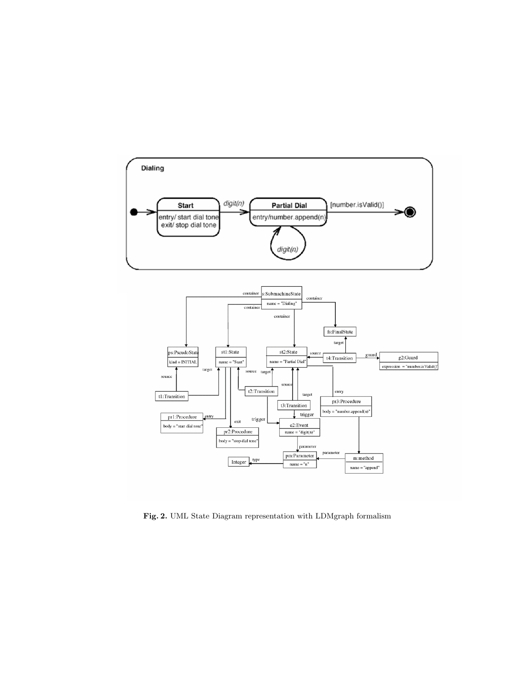

Fig. 2. UML State Diagram representation with LDMgraph formalism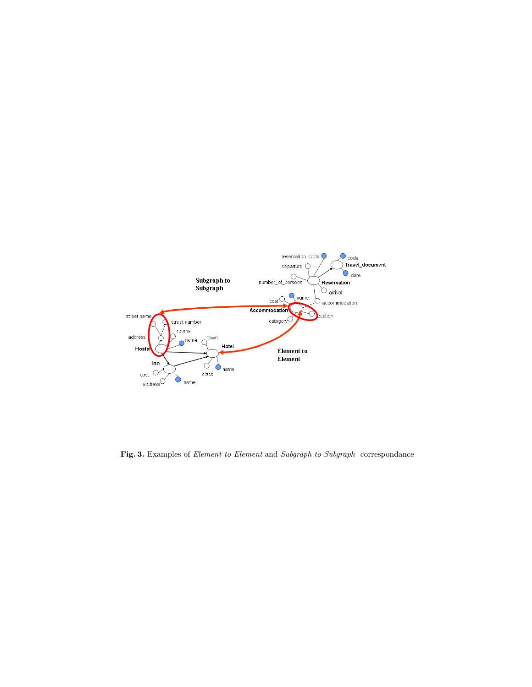

Fig. 3. Examples of *Element to Element* and *Subgraph to Subgraph* correspondance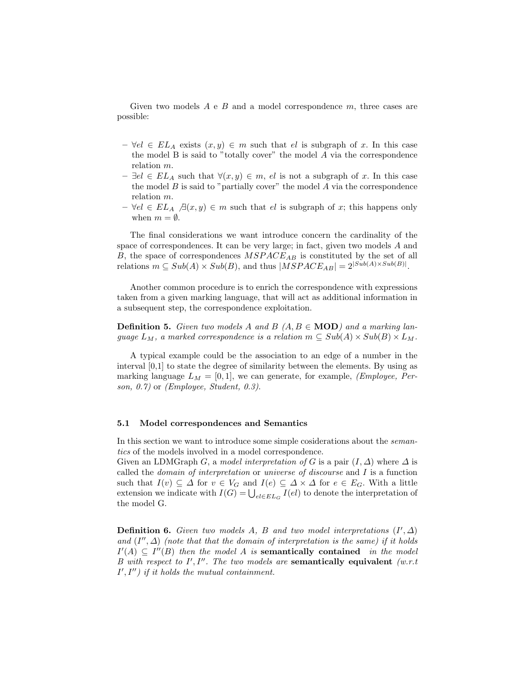Given two models  $A \in B$  and a model correspondence  $m$ , three cases are possible:

- $\forall e \in EL_A$  exists  $(x, y) \in m$  such that el is subgraph of x. In this case the model B is said to "totally cover" the model A via the correspondence relation m.
- $-$  ∃el ∈  $EL_A$  such that  $\forall (x, y) \in m$ , el is not a subgraph of x. In this case the model  $B$  is said to "partially cover" the model  $A$  via the correspondence relation m.
- $\forall e \in EL_A \; \exists (x, y) \in m \text{ such that } e \text{ is subgraph of } x;$  this happens only when  $m = \emptyset$ .

The final considerations we want introduce concern the cardinality of the space of correspondences. It can be very large; in fact, given two models A and B, the space of correspondences  $MSPACE_{AB}$  is constituted by the set of all relations  $m \subseteq Sub(A) \times Sub(B)$ , and thus  $|MSPACE_{AB}| = 2^{|Sub(A) \times Sub(B)|}$ .

Another common procedure is to enrich the correspondence with expressions taken from a given marking language, that will act as additional information in a subsequent step, the correspondence exploitation.

**Definition 5.** Given two models A and B  $(A, B \in \text{MOD})$  and a marking language  $L_M$ , a marked correspondence is a relation  $m \subseteq Sub(A) \times Sub(B) \times L_M$ .

A typical example could be the association to an edge of a number in the interval [0,1] to state the degree of similarity between the elements. By using as marking language  $L_M = [0, 1]$ , we can generate, for example, *(Employee, Per*son, 0.7) or (Employee, Student, 0.3).

#### 5.1 Model correspondences and Semantics

In this section we want to introduce some simple cosiderations about the semantics of the models involved in a model correspondence.

Given an LDMGraph G, a model interpretation of G is a pair  $(I, \Delta)$  where  $\Delta$  is called the domain of interpretation or universe of discourse and I is a function such that  $I(v) \subseteq \Delta$  for  $v \in V_G$  and  $I(e) \subseteq \Delta \times \Delta$  for  $e \in E_G$ . With a little extension we indicate with  $I(G) = \bigcup_{e l \in EL_G} I(e l)$  to denote the interpretation of the model G.

**Definition 6.** Given two models A, B and two model interpretations  $(I', \Delta)$ and  $(I'', \Delta)$  (note that that the domain of interpretation is the same) if it holds  $I'(A) \subseteq I''(B)$  then the model A is semantically contained in the model B with respect to  $I', I''$ . The two models are semantically equivalent (w.r.t  $I', I'')$  if it holds the mutual containment.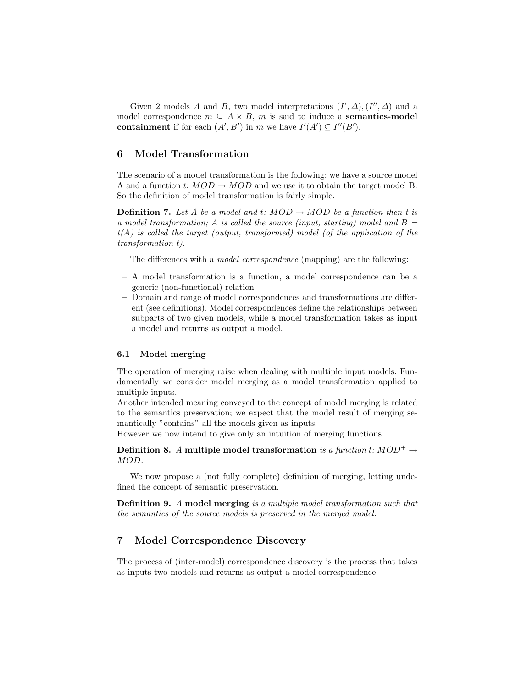Given 2 models A and B, two model interpretations  $(I', \Delta), (I'', \Delta)$  and a model correspondence  $m \subseteq A \times B$ , m is said to induce a **semantics-model** containment if for each  $(A', B')$  in m we have  $I'(A') \subseteq I''(B')$ .

# 6 Model Transformation

The scenario of a model transformation is the following: we have a source model A and a function  $t: MOD \to MOD$  and we use it to obtain the target model B. So the definition of model transformation is fairly simple.

**Definition 7.** Let A be a model and t:  $MOD \rightarrow MOD$  be a function then t is a model transformation; A is called the source (input, starting) model and  $B =$  $t(A)$  is called the target (output, transformed) model (of the application of the transformation t).

The differences with a model correspondence (mapping) are the following:

- A model transformation is a function, a model correspondence can be a generic (non-functional) relation
- Domain and range of model correspondences and transformations are different (see definitions). Model correspondences define the relationships between subparts of two given models, while a model transformation takes as input a model and returns as output a model.

#### 6.1 Model merging

The operation of merging raise when dealing with multiple input models. Fundamentally we consider model merging as a model transformation applied to multiple inputs.

Another intended meaning conveyed to the concept of model merging is related to the semantics preservation; we expect that the model result of merging semantically "contains" all the models given as inputs.

However we now intend to give only an intuition of merging functions.

Definition 8. A multiple model transformation is a function t:  $MOD^+ \rightarrow$ MOD.

We now propose a (not fully complete) definition of merging, letting undefined the concept of semantic preservation.

Definition 9. A model merging is a multiple model transformation such that the semantics of the source models is preserved in the merged model.

# 7 Model Correspondence Discovery

The process of (inter-model) correspondence discovery is the process that takes as inputs two models and returns as output a model correspondence.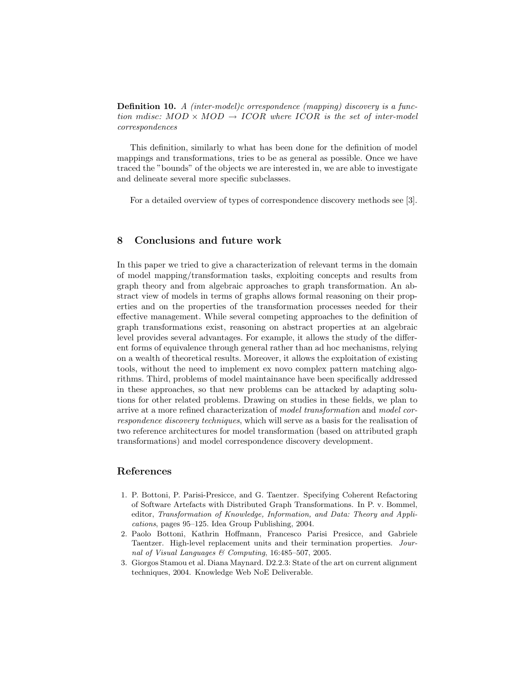Definition 10. A (inter-model)c orrespondence (mapping) discovery is a function mdisc:  $MOD \times MOD \rightarrow ICOR$  where  $ICOR$  is the set of inter-model correspondences

This definition, similarly to what has been done for the definition of model mappings and transformations, tries to be as general as possible. Once we have traced the "bounds" of the objects we are interested in, we are able to investigate and delineate several more specific subclasses.

For a detailed overview of types of correspondence discovery methods see [3].

# 8 Conclusions and future work

In this paper we tried to give a characterization of relevant terms in the domain of model mapping/transformation tasks, exploiting concepts and results from graph theory and from algebraic approaches to graph transformation. An abstract view of models in terms of graphs allows formal reasoning on their properties and on the properties of the transformation processes needed for their effective management. While several competing approaches to the definition of graph transformations exist, reasoning on abstract properties at an algebraic level provides several advantages. For example, it allows the study of the different forms of equivalence through general rather than ad hoc mechanisms, relying on a wealth of theoretical results. Moreover, it allows the exploitation of existing tools, without the need to implement ex novo complex pattern matching algorithms. Third, problems of model maintainance have been specifically addressed in these approaches, so that new problems can be attacked by adapting solutions for other related problems. Drawing on studies in these fields, we plan to arrive at a more refined characterization of model transformation and model correspondence discovery techniques, which will serve as a basis for the realisation of two reference architectures for model transformation (based on attributed graph transformations) and model correspondence discovery development.

# References

- 1. P. Bottoni, P. Parisi-Presicce, and G. Taentzer. Specifying Coherent Refactoring of Software Artefacts with Distributed Graph Transformations. In P. v. Bommel, editor, Transformation of Knowledge, Information, and Data: Theory and Applications, pages 95–125. Idea Group Publishing, 2004.
- 2. Paolo Bottoni, Kathrin Hoffmann, Francesco Parisi Presicce, and Gabriele Taentzer. High-level replacement units and their termination properties. Journal of Visual Languages & Computing, 16:485–507, 2005.
- 3. Giorgos Stamou et al. Diana Maynard. D2.2.3: State of the art on current alignment techniques, 2004. Knowledge Web NoE Deliverable.